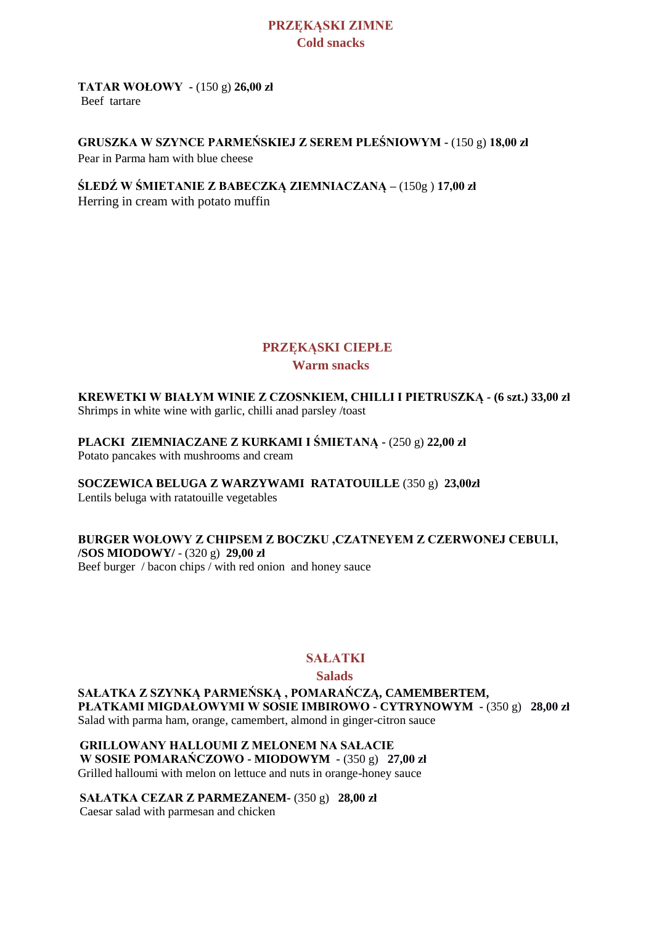#### **PRZĘKĄSKI ZIMNE Cold snacks**

#### **TATAR WOŁOWY -** (150 g) **26,00 zł** Beef tartare

### **GRUSZKA W SZYNCE PARMEŃSKIEJ Z SEREM PLEŚNIOWYM -** (150 g) **18,00 zł**

Pear in Parma ham with blue cheese

**ŚLEDŹ W ŚMIETANIE Z BABECZKĄ ZIEMNIACZANĄ –** (150g ) **17,00 zł**

Herring in cream with potato muffin

### **PRZĘKĄSKI CIEPŁE Warm snacks**

**KREWETKI W BIAŁYM WINIE Z CZOSNKIEM, CHILLI I PIETRUSZKĄ - (6 szt.) 33,00 zł**  Shrimps in white wine with garlic, chilli anad parsley /toast

**PLACKI ZIEMNIACZANE Z KURKAMI I ŚMIETANĄ -** (250 g) **22,00 zł** 

Potato pancakes with mushrooms and cream

**SOCZEWICA BELUGA Z WARZYWAMI RATATOUILLE** (350 g) **23,00zł**

Lentils beluga with ratatouille vegetables

### **BURGER WOŁOWY Z CHIPSEM Z BOCZKU ,CZATNEYEM Z CZERWONEJ CEBULI,**

**/SOS MIODOWY/** - (320 g) **29,00 zł** Beef burger / bacon chips / with red onion and honey sauce

### **SAŁATKI**

#### **Salads**

**SAŁATKA Z SZYNKĄ PARMEŃSKĄ , POMARAŃCZĄ, CAMEMBERTEM, PŁATKAMI MIGDAŁOWYMI W SOSIE IMBIROWO - CYTRYNOWYM -** (350 g) **28,00 zł**  Salad with parma ham, orange, camembert, almond in ginger-citron sauce

**GRILLOWANY HALLOUMI Z MELONEM NA SAŁACIE W SOSIE POMARAŃCZOWO - MIODOWYM -** (350 g) **27,00 zł**  Grilled halloumi with melon on lettuce and nuts in orange-honey sauce

**SAŁATKA CEZAR Z PARMEZANEM-** (350 g) **28,00 zł**  Caesar salad with parmesan and chicken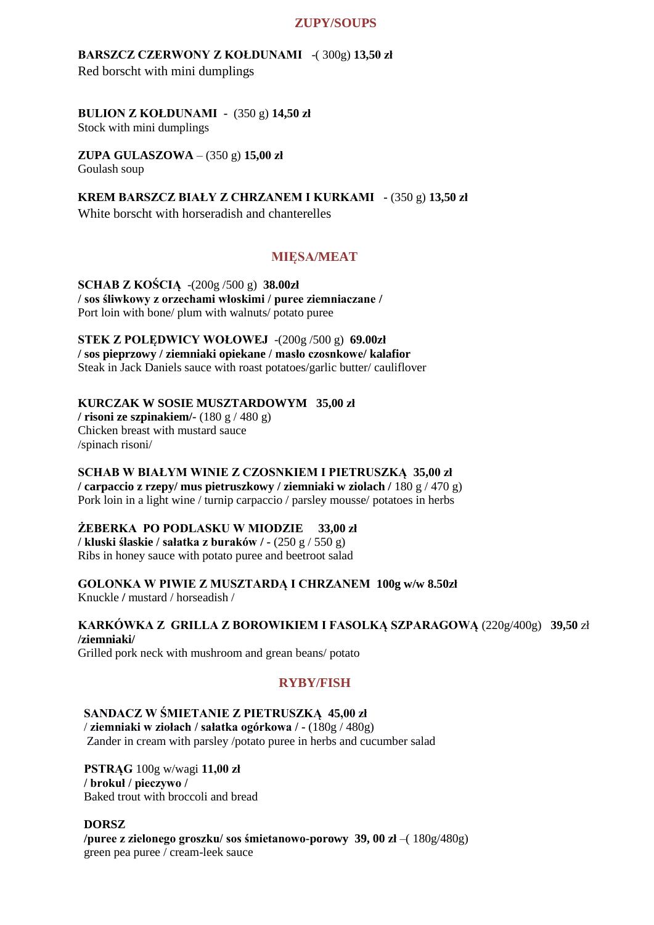#### **ZUPY/SOUPS**

**BARSZCZ CZERWONY Z KOŁDUNAMI** -( 300g) **13,50 zł**  Red borscht with mini dumplings

## **BULION Z KOŁDUNAMI -** (350 g) **14,50 zł**

Stock with mini dumplings

**ZUPA GULASZOWA** – (350 g) **15,00 zł** Goulash soup

**KREM BARSZCZ BIAŁY Z CHRZANEM I KURKAMI -** (350 g) **13,50 zł** White borscht with horseradish and chanterelles

#### **MIĘSA/MEAT**

**SCHAB Z KOŚCIĄ** -(200g /500 g) **38.00zł / sos śliwkowy z orzechami włoskimi / puree ziemniaczane /**  Port loin with bone/ plum with walnuts/ potato puree

**STEK Z POLĘDWICY WOŁOWEJ** -(200g /500 g) **69.00zł / sos pieprzowy / ziemniaki opiekane / masło czosnkowe/ kalafior** Steak in Jack Daniels sauce with roast potatoes/garlic butter/ cauliflover

#### **KURCZAK W SOSIE MUSZTARDOWYM 35,00 zł**

**/ risoni ze szpinakiem/-** (180 g / 480 g) Chicken breast with mustard sauce /spinach risoni/

#### **SCHAB W BIAŁYM WINIE Z CZOSNKIEM I PIETRUSZKĄ 35,00 zł**

**/ carpaccio z rzepy/ mus pietruszkowy / ziemniaki w ziolach /** 180 g / 470 g) Pork loin in a light wine / turnip carpaccio / parsley mousse/ potatoes in herbs

#### **ŻEBERKA PO PODLASKU W MIODZIE 33,00 zł**

**/ kluski ślaskie / sałatka z buraków / -** (250 g / 550 g) Ribs in honey sauce with potato puree and beetroot salad

**GOLONKA W PIWIE Z MUSZTARDĄ I CHRZANEM 100g w/w 8.50zł**  Knuckle **/** mustard / horseadish /

**KARKÓWKA Z GRILLA Z BOROWIKIEM I FASOLKĄ SZPARAGOWĄ** (220g/400g) **39,50** zł **/ziemniaki/**

Grilled pork neck with mushroom and grean beans/ potato

#### **RYBY/FISH**

#### **SANDACZ W ŚMIETANIE Z PIETRUSZKĄ 45,00 zł**

/ **ziemniaki w ziołach / sałatka ogórkowa / -** (180g / 480g) Zander in cream with parsley /potato puree in herbs and cucumber salad

**PSTRĄG** 100g w/wagi **11,00 zł / brokuł / pieczywo /** Baked trout with broccoli and bread

#### **DORSZ**

**/puree z zielonego groszku/ sos śmietanowo-porowy 39, 00 zł** –( 180g/480g) green pea puree / cream-leek sauce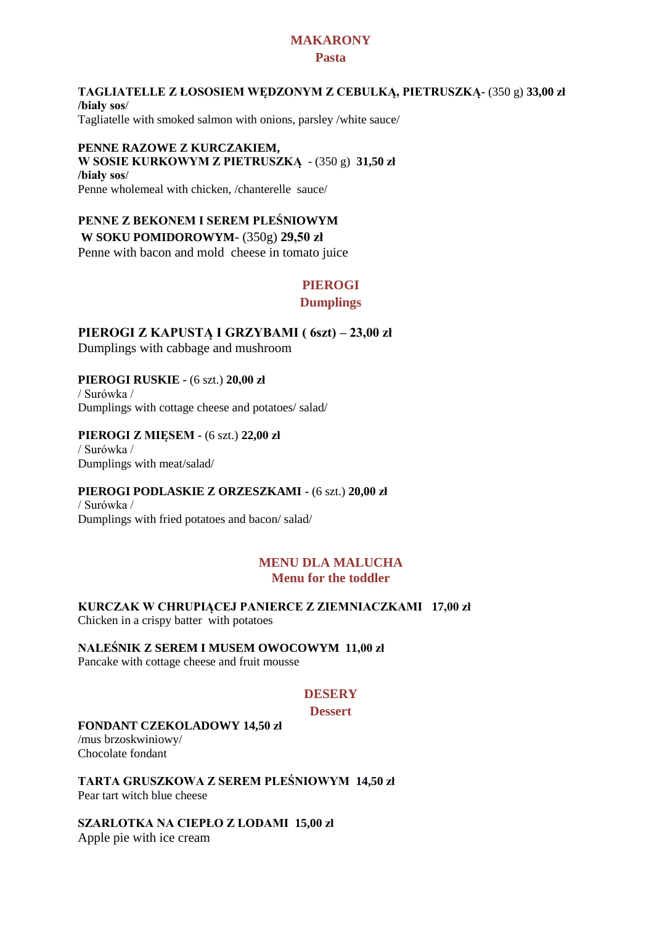#### **MAKARONY**

#### **Pasta**

#### **TAGLIATELLE Z ŁOSOSIEM WĘDZONYM Z CEBULKĄ, PIETRUSZKĄ-** (350 g) **33,00 zł /biały sos**/ Tagliatelle with smoked salmon with onions, parsley /white sauce/

#### **PENNE RAZOWE Z KURCZAKIEM, W SOSIE KURKOWYM Z PIETRUSZKĄ** - (350 g) **31,50 zł /biały sos**/ Penne wholemeal with chicken, /chanterelle sauce/

#### **PENNE Z BEKONEM I SEREM PLEŚNIOWYM**

#### **W SOKU POMIDOROWYM**- (350g) **29,50 zł**

Penne with bacon and mold cheese in tomato juice

### **PIEROGI**

#### **Dumplings**

**PIEROGI Z KAPUSTĄ I GRZYBAMI ( 6szt) – 23,00 zł** Dumplings with cabbage and mushroom

**PIEROGI RUSKIE -** (6 szt.) **20,00 zł**  / Surówka / Dumplings with cottage cheese and potatoes/ salad/

#### **PIEROGI Z MIĘSEM -** (6 szt.) **22,00 zł**

/ Surówka / Dumplings with meat/salad/

#### **PIEROGI PODLASKIE Z ORZESZKAMI -** (6 szt.) **20,00 zł**

/ Surówka / Dumplings with fried potatoes and bacon/ salad/

#### **MENU DLA MALUCHA Menu for the toddler**

**KURCZAK W CHRUPIĄCEJ PANIERCE Z ZIEMNIACZKAMI 17,00 zł**  Chicken in a crispy batter with potatoes

**NALEŚNIK Z SEREM I MUSEM OWOCOWYM 11,00 zł**

## Pancake with cottage cheese and fruit mousse

#### **DESERY**

#### **Dessert**

#### **FONDANT CZEKOLADOWY 14,50 zł**

/mus brzoskwiniowy/ Chocolate fondant

**TARTA GRUSZKOWA Z SEREM PLEŚNIOWYM 14,50 zł** Pear tart witch blue cheese

**SZARLOTKA NA CIEPŁO Z LODAMI 15,00 zł** Apple pie with ice cream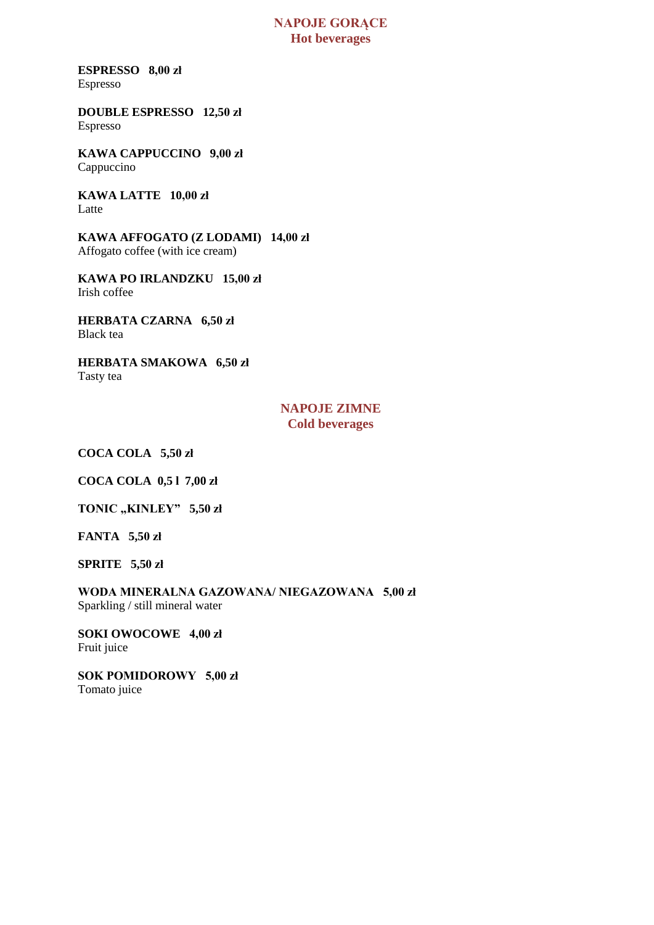#### **NAPOJE GORĄCE Hot beverages**

**ESPRESSO 8,00 zł**  Espresso

**DOUBLE ESPRESSO 12,50 zł**  Espresso

**KAWA CAPPUCCINO 9,00 zł**  Cappuccino

**KAWA LATTE 10,00 zł**  Latte

**KAWA AFFOGATO (Z LODAMI) 14,00 zł**  Affogato coffee (with ice cream)

**KAWA PO IRLANDZKU 15,00 zł**  Irish coffee

**HERBATA CZARNA 6,50 zł**  Black tea

**HERBATA SMAKOWA 6,50 zł**  Tasty tea

#### **NAPOJE ZIMNE Cold beverages**

**COCA COLA 5,50 zł** 

**COCA COLA 0,5 l 7,00 zł** 

**TONIC "KINLEY" 5,50 zł** 

**FANTA 5,50 zł** 

**SPRITE 5,50 zł** 

**WODA MINERALNA GAZOWANA/ NIEGAZOWANA 5,00 zł**  Sparkling / still mineral water

**SOKI OWOCOWE 4,00 zł**  Fruit juice

**SOK POMIDOROWY 5,00 zł**  Tomato juice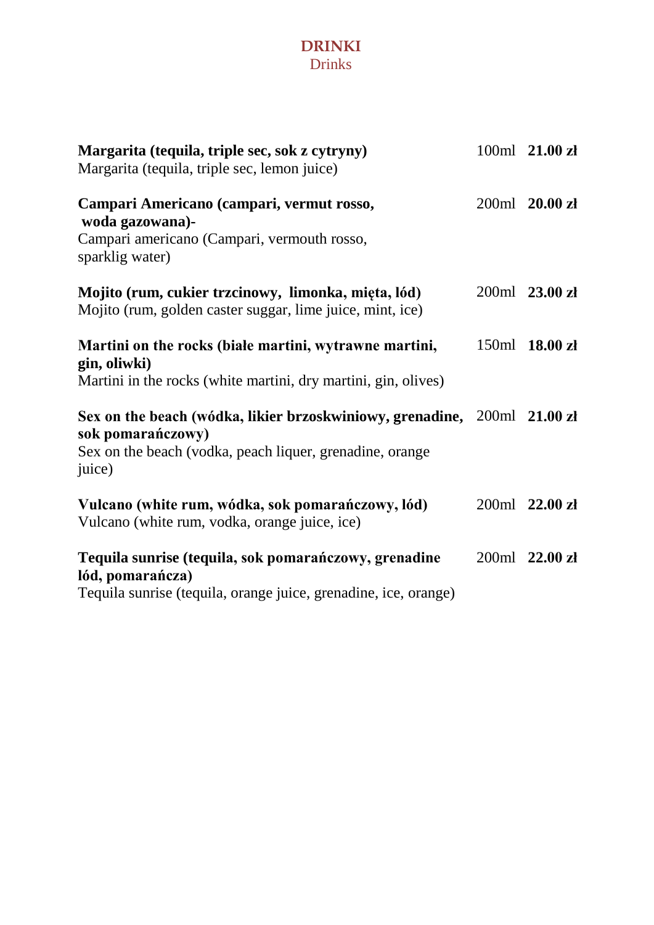## **DRINKI** Drinks

| Margarita (tequila, triple sec, sok z cytryny)<br>Margarita (tequila, triple sec, lemon juice)                                                                      | 100ml 21.00 zł |
|---------------------------------------------------------------------------------------------------------------------------------------------------------------------|----------------|
| Campari Americano (campari, vermut rosso,<br>woda gazowana)-<br>Campari americano (Campari, vermouth rosso,<br>sparklig water)                                      | 200ml 20.00 zł |
| Mojito (rum, cukier trzcinowy, limonka, mięta, lód)<br>Mojito (rum, golden caster suggar, lime juice, mint, ice)                                                    | 200ml 23.00 zł |
| Martini on the rocks (biale martini, wytrawne martini,<br>gin, oliwki)<br>Martini in the rocks (white martini, dry martini, gin, olives)                            | 150ml 18.00 zł |
| Sex on the beach (wódka, likier brzoskwiniowy, grenadine, 200ml 21.00 zł<br>sok pomarańczowy)<br>Sex on the beach (vodka, peach liquer, grenadine, orange<br>juice) |                |
| Vulcano (white rum, wódka, sok pomarańczowy, lód)<br>Vulcano (white rum, vodka, orange juice, ice)                                                                  | 200ml 22.00 zł |
| Tequila sunrise (tequila, sok pomarańczowy, grenadine<br>lód, pomarańcza)<br>Tequila sunrise (tequila, orange juice, grenadine, ice, orange)                        | 200ml 22.00 zł |